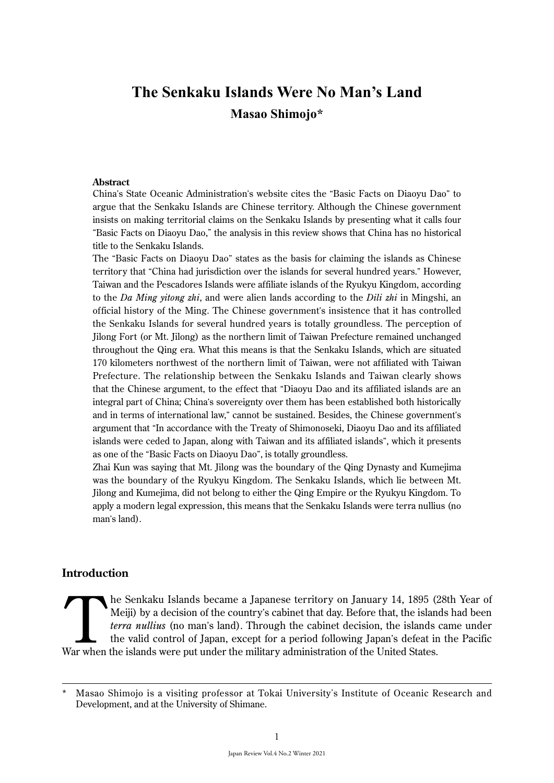# **The Senkaku Islands Were No Man's Land Masao Shimojo\***

#### **Abstract**

China's State Oceanic Administration's website cites the "Basic Facts on Diaoyu Dao" to argue that the Senkaku Islands are Chinese territory. Although the Chinese government insists on making territorial claims on the Senkaku Islands by presenting what it calls four "Basic Facts on Diaoyu Dao," the analysis in this review shows that China has no historical title to the Senkaku Islands.

The "Basic Facts on Diaoyu Dao" states as the basis for claiming the islands as Chinese territory that "China had jurisdiction over the islands for several hundred years." However, Taiwan and the Pescadores Islands were affiliate islands of the Ryukyu Kingdom, according to the *Da Ming yitong zhi*, and were alien lands according to the *Dili zhi* in Mingshi, an official history of the Ming. The Chinese government's insistence that it has controlled the Senkaku Islands for several hundred years is totally groundless. The perception of Jilong Fort (or Mt. Jilong) as the northern limit of Taiwan Prefecture remained unchanged throughout the Qing era. What this means is that the Senkaku Islands, which are situated 170 kilometers northwest of the northern limit of Taiwan, were not affiliated with Taiwan Prefecture. The relationship between the Senkaku Islands and Taiwan clearly shows that the Chinese argument, to the effect that "Diaoyu Dao and its affiliated islands are an integral part of China; China's sovereignty over them has been established both historically and in terms of international law," cannot be sustained. Besides, the Chinese government's argument that "In accordance with the Treaty of Shimonoseki, Diaoyu Dao and its affiliated islands were ceded to Japan, along with Taiwan and its affiliated islands", which it presents as one of the "Basic Facts on Diaoyu Dao", is totally groundless.

Zhai Kun was saying that Mt. Jilong was the boundary of the Qing Dynasty and Kumejima was the boundary of the Ryukyu Kingdom. The Senkaku Islands, which lie between Mt. Jilong and Kumejima, did not belong to either the Qing Empire or the Ryukyu Kingdom. To apply a modern legal expression, this means that the Senkaku Islands were terra nullius (no man's land).

## **Introduction**

The Senkaku Islands became a Japanese territory on January 14, 1895 (28th Year of Meiji) by a decision of the country's cabinet that day. Before that, the islands had been *terra nullius* (no man's land). Through the cabin Meiji) by a decision of the country's cabinet that day. Before that, the islands had been *terra nullius* (no man's land). Through the cabinet decision, the islands came under the valid control of Japan, except for a period following Japan's defeat in the Pacific War when the islands were put under the military administration of the United States.

Masao Shimojo is a visiting professor at Tokai University's Institute of Oceanic Research and Development, and at the University of Shimane.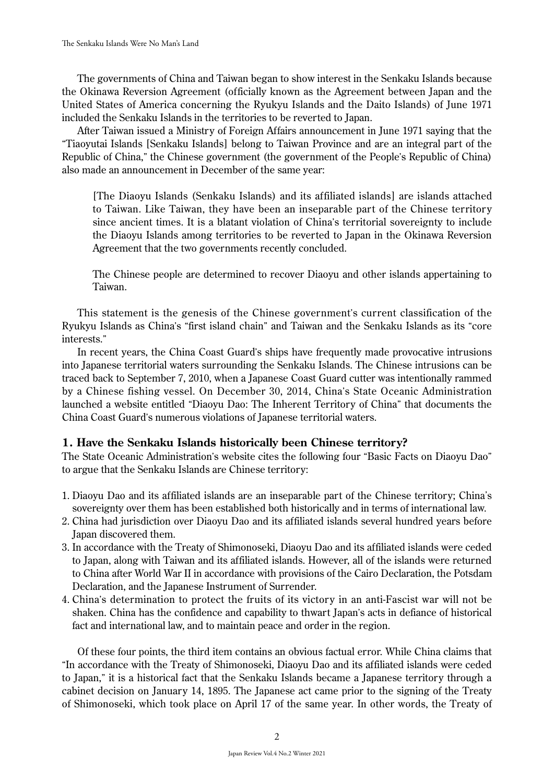The governments of China and Taiwan began to show interest in the Senkaku Islands because the Okinawa Reversion Agreement (officially known as the Agreement between Japan and the United States of America concerning the Ryukyu Islands and the Daito Islands) of June 1971 included the Senkaku Islands in the territories to be reverted to Japan.

After Taiwan issued a Ministry of Foreign Affairs announcement in June 1971 saying that the "Tiaoyutai Islands [Senkaku Islands] belong to Taiwan Province and are an integral part of the Republic of China," the Chinese government (the government of the People's Republic of China) also made an announcement in December of the same year:

[The Diaoyu Islands (Senkaku Islands) and its affiliated islands] are islands attached to Taiwan. Like Taiwan, they have been an inseparable part of the Chinese territory since ancient times. It is a blatant violation of China's territorial sovereignty to include the Diaoyu Islands among territories to be reverted to Japan in the Okinawa Reversion Agreement that the two governments recently concluded.

The Chinese people are determined to recover Diaoyu and other islands appertaining to Taiwan.

This statement is the genesis of the Chinese government's current classification of the Ryukyu Islands as China's "first island chain" and Taiwan and the Senkaku Islands as its "core interests."

In recent years, the China Coast Guard's ships have frequently made provocative intrusions into Japanese territorial waters surrounding the Senkaku Islands. The Chinese intrusions can be traced back to September 7, 2010, when a Japanese Coast Guard cutter was intentionally rammed by a Chinese fishing vessel. On December 30, 2014, China's State Oceanic Administration launched a website entitled "Diaoyu Dao: The Inherent Territory of China" that documents the China Coast Guard's numerous violations of Japanese territorial waters.

## **1. Have the Senkaku Islands historically been Chinese territory?**

The State Oceanic Administration's website cites the following four "Basic Facts on Diaoyu Dao" to argue that the Senkaku Islands are Chinese territory:

- 1. Diaoyu Dao and its affiliated islands are an inseparable part of the Chinese territory; China's sovereignty over them has been established both historically and in terms of international law.
- 2. China had jurisdiction over Diaoyu Dao and its affiliated islands several hundred years before Japan discovered them.
- 3. In accordance with the Treaty of Shimonoseki, Diaoyu Dao and its affiliated islands were ceded to Japan, along with Taiwan and its affiliated islands. However, all of the islands were returned to China after World War II in accordance with provisions of the Cairo Declaration, the Potsdam Declaration, and the Japanese Instrument of Surrender.
- 4. China's determination to protect the fruits of its victory in an anti-Fascist war will not be shaken. China has the confidence and capability to thwart Japan's acts in defiance of historical fact and international law, and to maintain peace and order in the region.

Of these four points, the third item contains an obvious factual error. While China claims that "In accordance with the Treaty of Shimonoseki, Diaoyu Dao and its affiliated islands were ceded to Japan," it is a historical fact that the Senkaku Islands became a Japanese territory through a cabinet decision on January 14, 1895. The Japanese act came prior to the signing of the Treaty of Shimonoseki, which took place on April 17 of the same year. In other words, the Treaty of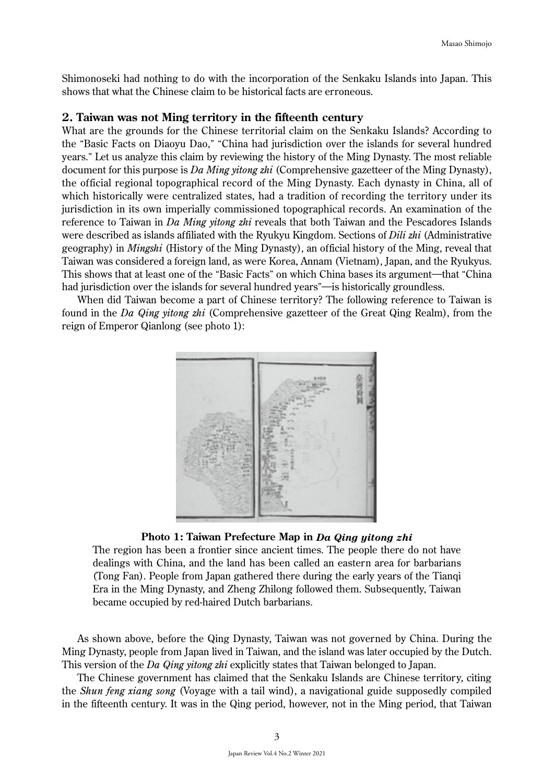Shimonoseki had nothing to do with the incorporation of the Senkaku Islands into Japan. This shows that what the Chinese claim to be historical facts are erroneous.

#### **2. Taiwan was not Ming territory in the fifteenth century**

What are the grounds for the Chinese territorial claim on the Senkaku Islands? According to the "Basic Facts on Diaoyu Dao," "China had jurisdiction over the islands for several hundred years." Let us analyze this claim by reviewing the history of the Ming Dynasty. The most reliable document for this purpose is *Da Ming yitong zhi* (Comprehensive gazetteer of the Ming Dynasty), the official regional topographical record of the Ming Dynasty. Each dynasty in China, all of which historically were centralized states, had a tradition of recording the territory under its jurisdiction in its own imperially commissioned topographical records. An examination of the reference to Taiwan in *Da Ming yitong zhi* reveals that both Taiwan and the Pescadores Islands were described as islands affiliated with the Ryukyu Kingdom. Sections of *Dili zhi* (Administrative geography) in *Mingshi* (History of the Ming Dynasty), an official history of the Ming, reveal that Taiwan was considered a foreign land, as were Korea, Annam (Vietnam), Japan, and the Ryukyus. This shows that at least one of the "Basic Facts" on which China bases its argument—that "China" had jurisdiction over the islands for several hundred years"—is historically groundless.

When did Taiwan become a part of Chinese territory? The following reference to Taiwan is found in the *Da Qing yitong zhi* (Comprehensive gazetteer of the Great Qing Realm), from the reign of Emperor Qianlong (see photo 1):



#### **Photo 1: Taiwan Prefecture Map in** *Da Qing yitong zhi*

The region has been a frontier since ancient times. The people there do not have dealings with China, and the land has been called an eastern area for barbarians (Tong Fan). People from Japan gathered there during the early years of the Tianqi Era in the Ming Dynasty, and Zheng Zhilong followed them. Subsequently, Taiwan became occupied by red-haired Dutch barbarians.

As shown above, before the Qing Dynasty, Taiwan was not governed by China. During the Ming Dynasty, people from Japan lived in Taiwan, and the island was later occupied by the Dutch. This version of the *Da Qing yitong zhi* explicitly states that Taiwan belonged to Japan.

The Chinese government has claimed that the Senkaku Islands are Chinese territory, citing the *Shun feng xiang song* (Voyage with a tail wind), a navigational guide supposedly compiled in the fifteenth century. It was in the Qing period, however, not in the Ming period, that Taiwan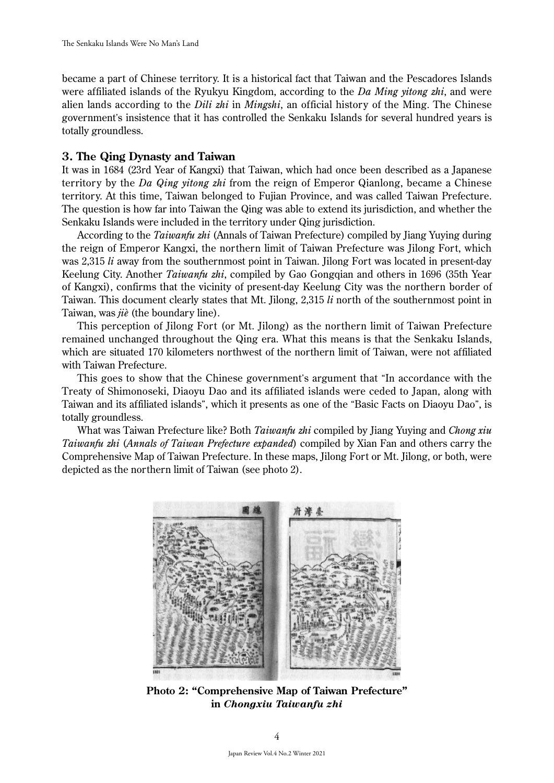became a part of Chinese territory. It is a historical fact that Taiwan and the Pescadores Islands were affiliated islands of the Ryukyu Kingdom, according to the *Da Ming yitong zhi*, and were alien lands according to the *Dili zhi* in *Mingshi*, an official history of the Ming. The Chinese government's insistence that it has controlled the Senkaku Islands for several hundred years is totally groundless.

### **3. The Qing Dynasty and Taiwan**

It was in 1684 (23rd Year of Kangxi) that Taiwan, which had once been described as a Japanese territory by the *Da Qing yitong zhi* from the reign of Emperor Qianlong, became a Chinese territory. At this time, Taiwan belonged to Fujian Province, and was called Taiwan Prefecture. The question is how far into Taiwan the Qing was able to extend its jurisdiction, and whether the Senkaku Islands were included in the territory under Qing jurisdiction.

According to the *Taiwanfu zhi* (Annals of Taiwan Prefecture) compiled by Jiang Yuying during the reign of Emperor Kangxi, the northern limit of Taiwan Prefecture was Jilong Fort, which was 2,315 *li* away from the southernmost point in Taiwan. Jilong Fort was located in present-day Keelung City. Another *Taiwanfu zhi*, compiled by Gao Gongqian and others in 1696 (35th Year of Kangxi), confirms that the vicinity of present-day Keelung City was the northern border of Taiwan. This document clearly states that Mt. Jilong, 2,315 *li* north of the southernmost point in Taiwan, was *jiè* (the boundary line).

This perception of Jilong Fort (or Mt. Jilong) as the northern limit of Taiwan Prefecture remained unchanged throughout the Qing era. What this means is that the Senkaku Islands, which are situated 170 kilometers northwest of the northern limit of Taiwan, were not affiliated with Taiwan Prefecture.

This goes to show that the Chinese government's argument that "In accordance with the Treaty of Shimonoseki, Diaoyu Dao and its affiliated islands were ceded to Japan, along with Taiwan and its affiliated islands", which it presents as one of the "Basic Facts on Diaoyu Dao", is totally groundless.

What was Taiwan Prefecture like? Both *Taiwanfu zhi* compiled by Jiang Yuying and *Chong xiu Taiwanfu zhi* (*Annals of Taiwan Prefecture expanded*) compiled by Xian Fan and others carry the Comprehensive Map of Taiwan Prefecture. In these maps, Jilong Fort or Mt. Jilong, or both, were depicted as the northern limit of Taiwan (see photo 2).



**Photo 2: "Comprehensive Map of Taiwan Prefecture" in** *Chongxiu Taiwanfu zhi*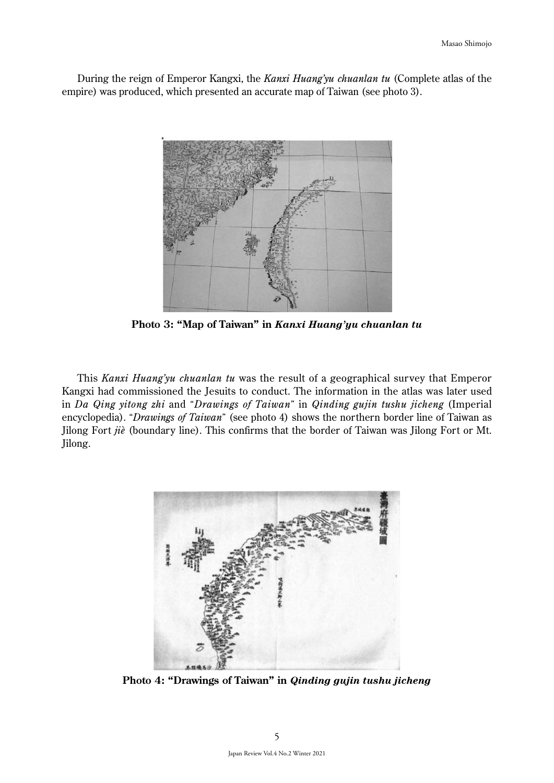During the reign of Emperor Kangxi, the *Kanxi Huang'yu chuanlan tu* (Complete atlas of the empire) was produced, which presented an accurate map of Taiwan (see photo 3).



**Photo 3: "Map of Taiwan" in** *Kanxi Huang'yu chuanlan tu*

This *Kanxi Huang'yu chuanlan tu* was the result of a geographical survey that Emperor Kangxi had commissioned the Jesuits to conduct. The information in the atlas was later used in *Da Qing yitong zhi* and "*Drawings of Taiwan*" in *Qinding gujin tushu jicheng* (Imperial encyclopedia). "*Drawings of Taiwan*" (see photo 4) shows the northern border line of Taiwan as Jilong Fort *jiè* (boundary line). This confirms that the border of Taiwan was Jilong Fort or Mt. Jilong.



**Photo 4: "Drawings of Taiwan" in** *Qinding gujin tushu jicheng*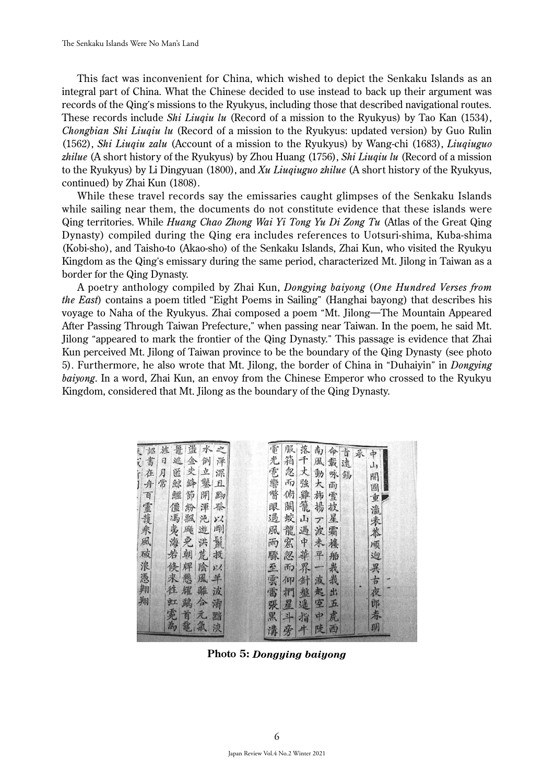This fact was inconvenient for China, which wished to depict the Senkaku Islands as an integral part of China. What the Chinese decided to use instead to back up their argument was records of the Qing's missions to the Ryukyus, including those that described navigational routes. These records include *Shi Liuqiu lu* (Record of a mission to the Ryukyus) by Tao Kan (1534), *Chongbian Shi Liuqiu lu* (Record of a mission to the Ryukyus: updated version) by Guo Rulin (1562), *Shi Liuqiu zalu* (Account of a mission to the Ryukyus) by Wang-chi (1683), *Liuqiuguo zhilue* (A short history of the Ryukyus) by Zhou Huang (1756), *Shi Liuqiu lu* (Record of a mission to the Ryukyus) by Li Dingyuan (1800), and *Xu Liuqiuguo zhilue* (A short history of the Ryukyus, continued) by Zhai Kun (1808).

While these travel records say the emissaries caught glimpses of the Senkaku Islands while sailing near them, the documents do not constitute evidence that these islands were Qing territories. While *Huang Chao Zhong Wai Yi Tong Yu Di Zong Tu* (Atlas of the Great Qing Dynasty) compiled during the Qing era includes references to Uotsuri-shima, Kuba-shima (Kobi-sho), and Taisho-to (Akao-sho) of the Senkaku Islands, Zhai Kun, who visited the Ryukyu Kingdom as the Qing's emissary during the same period, characterized Mt. Jilong in Taiwan as a border for the Qing Dynasty.

A poetry anthology compiled by Zhai Kun, *Dongying baiyong* (*One Hundred Verses from the East*) contains a poem titled "Eight Poems in Sailing" (Hanghai bayong) that describes his voyage to Naha of the Ryukyus. Zhai composed a poem "Mt. Jilong―The Mountain Appeared After Passing Through Taiwan Prefecture," when passing near Taiwan. In the poem, he said Mt. Jilong "appeared to mark the frontier of the Qing Dynasty." This passage is evidence that Zhai Kun perceived Mt. Jilong of Taiwan province to be the boundary of the Qing Dynasty (see photo 5). Furthermore, he also wrote that Mt. Jilong, the border of China in "Duhaiyin" in *Dongying baiyong*. In a word, Zhai Kun, an envoy from the Chinese Emperor who crossed to the Ryukyu Kingdom, considered that Mt. Jilong as the boundary of the Qing Dynasty.

| 鼍<br>水<br>盪<br>ż<br>旌<br>詔   | 服<br>落<br>南<br>命                       |
|------------------------------|----------------------------------------|
| 書<br>金<br>q<br>逃<br>倒<br>洋   | 電光<br>古遠<br>永<br>中<br>箱<br>千<br>風<br>載 |
| 一支絳<br>立<br>匿<br>深<br>月<br>在 | 山<br>丈<br>忽<br>動<br>咏<br>錫             |
| 繁<br>常<br>鲸<br>且.            | 開<br>而<br>強<br>大<br>雨                  |
| 節<br>開<br>黝<br>鱷             | 俯<br>雞<br>旆<br>雪                       |
| 僵<br>举<br>渾<br>紛             | 籠<br>闞<br>揚<br>披                       |
| 飄<br>沌<br>γZ                 | 蛟<br>星<br>山                            |
| 舟百靈護來風破浪憑<br>馮夷海若<br>剛       | 電響瞥眼過風<br>國重瀛未恭順<br>一波<br>龍<br>霜       |
| 遊洪荒<br>殿免<br>鬣               | 過中華<br>雨<br>窟<br>未<br>樓                |
| 朝<br>拔                       | 平<br>怨                                 |
|                              | 驟<br>船                                 |
| 陰<br>倏<br>牌<br>v.            | 界<br>栽<br>而                            |
| 來<br>悲<br>風<br>羊             | 波<br>裁<br>針<br>仰                       |
| 徃<br>躹<br>耀<br>離<br>波        | 逈異古夜<br>至雲雷<br>起<br>盤<br>捫<br>出        |
| 翔<br>合<br>鵡<br>涛             | 迷<br>空<br>五<br>星<br>張                  |
| 虹霓為<br>首<br>元<br>黯           | 郎春<br>虎<br>黑<br>과<br>中<br>指            |
| 氟<br>電<br>淡                  | 明<br>溝<br>陡<br>西<br>牛                  |
|                              | 旁                                      |

**Photo 5:** *Dongying baiyong*